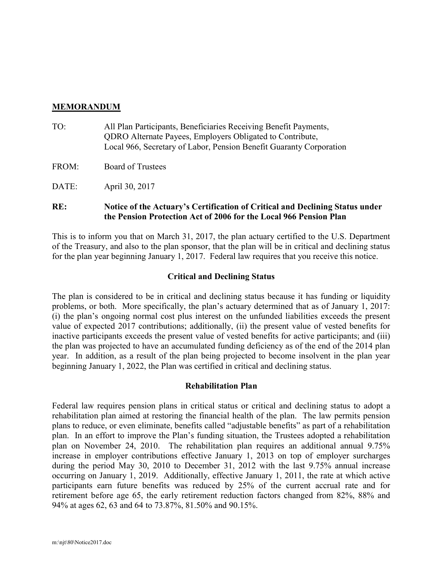### MEMORANDUM

- TO: All Plan Participants, Beneficiaries Receiving Benefit Payments, QDRO Alternate Payees, Employers Obligated to Contribute, Local 966, Secretary of Labor, Pension Benefit Guaranty Corporation
- FROM: Board of Trustees
- DATE: April 30, 2017

# RE: Notice of the Actuary's Certification of Critical and Declining Status under the Pension Protection Act of 2006 for the Local 966 Pension Plan

This is to inform you that on March 31, 2017, the plan actuary certified to the U.S. Department of the Treasury, and also to the plan sponsor, that the plan will be in critical and declining status for the plan year beginning January 1, 2017. Federal law requires that you receive this notice.

## Critical and Declining Status

The plan is considered to be in critical and declining status because it has funding or liquidity problems, or both. More specifically, the plan's actuary determined that as of January 1, 2017: (i) the plan's ongoing normal cost plus interest on the unfunded liabilities exceeds the present value of expected 2017 contributions; additionally, (ii) the present value of vested benefits for inactive participants exceeds the present value of vested benefits for active participants; and (iii) the plan was projected to have an accumulated funding deficiency as of the end of the 2014 plan year. In addition, as a result of the plan being projected to become insolvent in the plan year beginning January 1, 2022, the Plan was certified in critical and declining status.

#### Rehabilitation Plan

Federal law requires pension plans in critical status or critical and declining status to adopt a rehabilitation plan aimed at restoring the financial health of the plan. The law permits pension plans to reduce, or even eliminate, benefits called "adjustable benefits" as part of a rehabilitation plan. In an effort to improve the Plan's funding situation, the Trustees adopted a rehabilitation plan on November 24, 2010. The rehabilitation plan requires an additional annual 9.75% increase in employer contributions effective January 1, 2013 on top of employer surcharges during the period May 30, 2010 to December 31, 2012 with the last 9.75% annual increase occurring on January 1, 2019. Additionally, effective January 1, 2011, the rate at which active participants earn future benefits was reduced by 25% of the current accrual rate and for retirement before age 65, the early retirement reduction factors changed from 82%, 88% and 94% at ages 62, 63 and 64 to 73.87%, 81.50% and 90.15%.